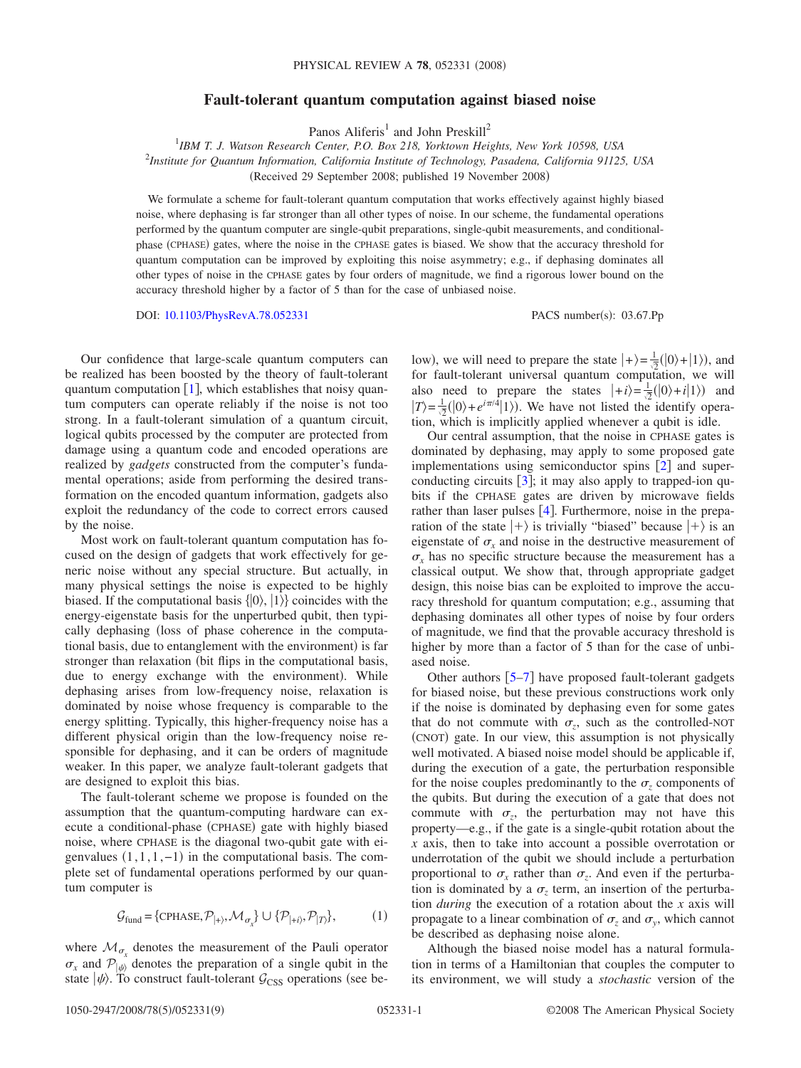# **Fault-tolerant quantum computation against biased noise**

Panos Aliferis<sup>1</sup> and John Preskill<sup>2</sup>

1 *IBM T. J. Watson Research Center, P.O. Box 218, Yorktown Heights, New York 10598, USA* 2 *Institute for Quantum Information, California Institute of Technology, Pasadena, California 91125, USA* Received 29 September 2008; published 19 November 2008-

We formulate a scheme for fault-tolerant quantum computation that works effectively against highly biased noise, where dephasing is far stronger than all other types of noise. In our scheme, the fundamental operations performed by the quantum computer are single-qubit preparations, single-qubit measurements, and conditionalphase (CPHASE) gates, where the noise in the CPHASE gates is biased. We show that the accuracy threshold for quantum computation can be improved by exploiting this noise asymmetry; e.g., if dephasing dominates all other types of noise in the CPHASE gates by four orders of magnitude, we find a rigorous lower bound on the accuracy threshold higher by a factor of 5 than for the case of unbiased noise.

DOI: [10.1103/PhysRevA.78.052331](http://dx.doi.org/10.1103/PhysRevA.78.052331)

PACS number(s): 03.67.Pp

Our confidence that large-scale quantum computers can be realized has been boosted by the theory of fault-tolerant quantum computation  $[1]$  $[1]$  $[1]$ , which establishes that noisy quantum computers can operate reliably if the noise is not too strong. In a fault-tolerant simulation of a quantum circuit, logical qubits processed by the computer are protected from damage using a quantum code and encoded operations are realized by *gadgets* constructed from the computer's fundamental operations; aside from performing the desired transformation on the encoded quantum information, gadgets also exploit the redundancy of the code to correct errors caused by the noise.

Most work on fault-tolerant quantum computation has focused on the design of gadgets that work effectively for generic noise without any special structure. But actually, in many physical settings the noise is expected to be highly biased. If the computational basis  $\{ |0\rangle, |1\rangle \}$  coincides with the energy-eigenstate basis for the unperturbed qubit, then typically dephasing (loss of phase coherence in the computational basis, due to entanglement with the environment) is far stronger than relaxation (bit flips in the computational basis, due to energy exchange with the environment). While dephasing arises from low-frequency noise, relaxation is dominated by noise whose frequency is comparable to the energy splitting. Typically, this higher-frequency noise has a different physical origin than the low-frequency noise responsible for dephasing, and it can be orders of magnitude weaker. In this paper, we analyze fault-tolerant gadgets that are designed to exploit this bias.

The fault-tolerant scheme we propose is founded on the assumption that the quantum-computing hardware can execute a conditional-phase (CPHASE) gate with highly biased noise, where CPHASE is the diagonal two-qubit gate with eigenvalues  $(1,1,1,-1)$  in the computational basis. The complete set of fundamental operations performed by our quantum computer is

$$
\mathcal{G}_{\text{fund}} = \{ \text{CPHASE}, \mathcal{P}_{|+\rangle}, \mathcal{M}_{\sigma_x} \} \cup \{ \mathcal{P}_{|+\hat{i}\rangle}, \mathcal{P}_{|T\rangle} \},\tag{1}
$$

where  $\mathcal{M}_{\sigma_{x}}$  denotes the measurement of the Pauli operator  $\sigma_x$  and  $\mathcal{P}_{\ket{\psi}}$  denotes the preparation of a single qubit in the state  $|\psi\rangle$ . To construct fault-tolerant  $\mathcal{G}_{CSS}$  operations (see be-

low), we will need to prepare the state  $|+\rangle = \frac{1}{\sqrt{2}}(|0\rangle + |1\rangle)$ , and for fault-tolerant universal quantum computation, we will also need to prepare the states  $|+i\rangle = \frac{1}{\sqrt{2}}(|0\rangle + i|1\rangle)$  and  $|T\rangle = \frac{1}{2}(|0\rangle + e^{i\pi/4}|1\rangle)$ . We have not listed the identify operation, which is implicitly applied whenever a qubit is idle.

Our central assumption, that the noise in CPHASE gates is dominated by dephasing, may apply to some proposed gate implementations using semiconductor spins  $[2]$  $[2]$  $[2]$  and superconducting circuits  $\lceil 3 \rceil$  $\lceil 3 \rceil$  $\lceil 3 \rceil$ ; it may also apply to trapped-ion qubits if the CPHASE gates are driven by microwave fields rather than laser pulses  $[4]$  $[4]$  $[4]$ . Furthermore, noise in the preparation of the state  $\ket{+}$  is trivially "biased" because  $\ket{+}$  is an eigenstate of  $\sigma_x$  and noise in the destructive measurement of  $\sigma_r$  has no specific structure because the measurement has a classical output. We show that, through appropriate gadget design, this noise bias can be exploited to improve the accuracy threshold for quantum computation; e.g., assuming that dephasing dominates all other types of noise by four orders of magnitude, we find that the provable accuracy threshold is higher by more than a factor of 5 than for the case of unbiased noise.

Other authors  $\lceil 5-7 \rceil$  $\lceil 5-7 \rceil$  $\lceil 5-7 \rceil$  have proposed fault-tolerant gadgets for biased noise, but these previous constructions work only if the noise is dominated by dephasing even for some gates that do not commute with  $\sigma_z$ , such as the controlled-NOT (CNOT) gate. In our view, this assumption is not physically well motivated. A biased noise model should be applicable if, during the execution of a gate, the perturbation responsible for the noise couples predominantly to the  $\sigma$ <sub>z</sub> components of the qubits. But during the execution of a gate that does not commute with  $\sigma_z$ , the perturbation may not have this property—e.g., if the gate is a single-qubit rotation about the *x* axis, then to take into account a possible overrotation or underrotation of the qubit we should include a perturbation proportional to  $\sigma_r$  rather than  $\sigma_r$ . And even if the perturbation is dominated by a  $\sigma_z$  term, an insertion of the perturbation *during* the execution of a rotation about the *x* axis will propagate to a linear combination of  $\sigma$ , and  $\sigma$ , which cannot be described as dephasing noise alone.

Although the biased noise model has a natural formulation in terms of a Hamiltonian that couples the computer to its environment, we will study a *stochastic* version of the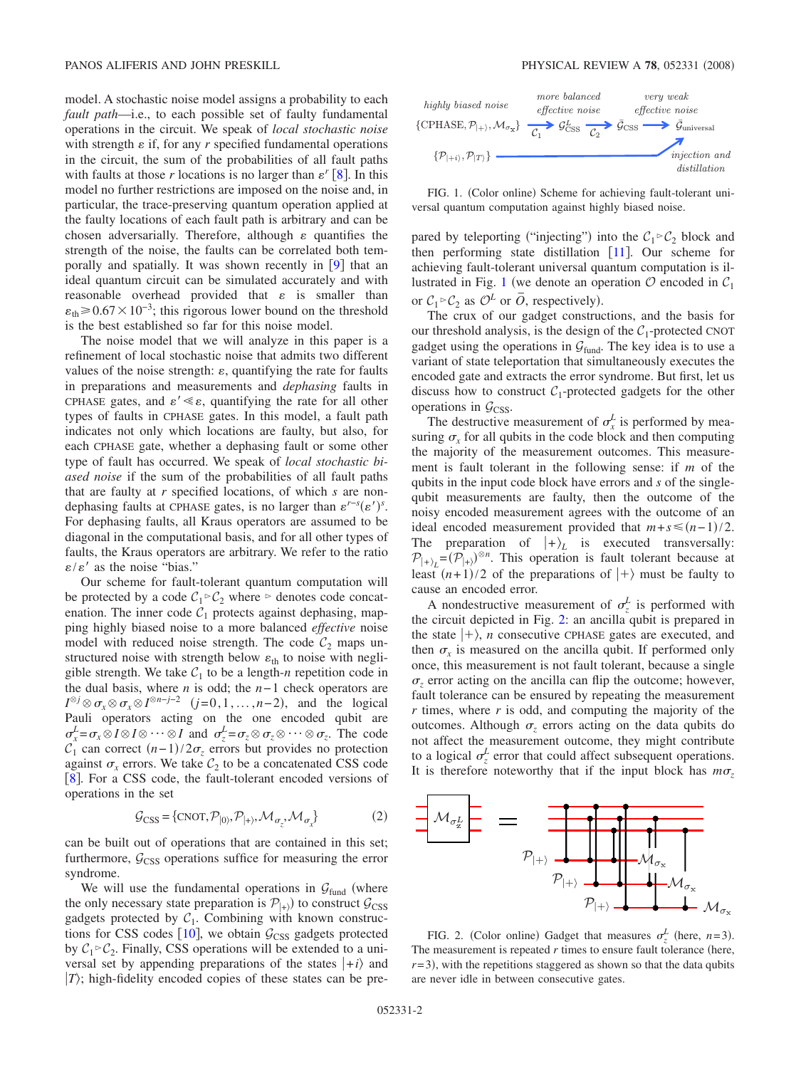model. A stochastic noise model assigns a probability to each *fault path*—i.e., to each possible set of faulty fundamental operations in the circuit. We speak of *local stochastic noise* with strength  $\varepsilon$  if, for any  $r$  specified fundamental operations in the circuit, the sum of the probabilities of all fault paths with faults at those *r* locations is no larger than  $\varepsilon$ <sup>*r*</sup> [[8](#page-7-6)]. In this model no further restrictions are imposed on the noise and, in particular, the trace-preserving quantum operation applied at the faulty locations of each fault path is arbitrary and can be chosen adversarially. Therefore, although  $\varepsilon$  quantifies the strength of the noise, the faults can be correlated both temporally and spatially. It was shown recently in  $[9]$  $[9]$  $[9]$  that an ideal quantum circuit can be simulated accurately and with reasonable overhead provided that  $\varepsilon$  is smaller than  $\epsilon_{\text{th}} \geq 0.67 \times 10^{-3}$ ; this rigorous lower bound on the threshold is the best established so far for this noise model.

The noise model that we will analyze in this paper is a refinement of local stochastic noise that admits two different values of the noise strength:  $\varepsilon$ , quantifying the rate for faults in preparations and measurements and *dephasing* faults in CPHASE gates, and  $\varepsilon' \ll \varepsilon$ , quantifying the rate for all other types of faults in CPHASE gates. In this model, a fault path indicates not only which locations are faulty, but also, for each CPHASE gate, whether a dephasing fault or some other type of fault has occurred. We speak of *local stochastic biased noise* if the sum of the probabilities of all fault paths that are faulty at *r* specified locations, of which *s* are nondephasing faults at CPHASE gates, is no larger than  $\varepsilon^{r-s}(\varepsilon')^s$ . For dephasing faults, all Kraus operators are assumed to be diagonal in the computational basis, and for all other types of faults, the Kraus operators are arbitrary. We refer to the ratio  $\epsilon/\epsilon'$  as the noise "bias."

Our scheme for fault-tolerant quantum computation will be protected by a code  $C_1 \rhd C_2$  where  $\rhd$  denotes code concatenation. The inner code  $C_1$  protects against dephasing, mapping highly biased noise to a more balanced *effective* noise model with reduced noise strength. The code  $C_2$  maps unstructured noise with strength below  $\varepsilon_{th}$  to noise with negligible strength. We take  $C_1$  to be a length-*n* repetition code in the dual basis, where *n* is odd; the *n*− 1 check operators are  $I^{\otimes j} \otimes \sigma_x \otimes \sigma_x \otimes I^{\otimes n-j-2}$   $(j=0,1,\ldots,n-2)$ , and the logical Pauli operators acting on the one encoded qubit are  $\sigma_x^L = \sigma_x \otimes I \otimes I \otimes \cdots \otimes I$  and  $\sigma_z^L = \sigma_z \otimes \sigma_z \otimes \cdots \otimes \sigma_z$ . The code  $C_1$  can correct  $(n-1)/2\sigma_z$  errors but provides no protection against  $\sigma_x$  errors. We take  $C_2$  to be a concatenated CSS code [[8](#page-7-6)]. For a CSS code, the fault-tolerant encoded versions of operations in the set

$$
\mathcal{G}_{\text{CSS}} = \{ \text{CNOT}, \mathcal{P}_{|0}, \mathcal{P}_{|+\rangle}, \mathcal{M}_{\sigma_z}, \mathcal{M}_{\sigma_x} \}
$$
(2)

can be built out of operations that are contained in this set; furthermore,  $G<sub>CSS</sub>$  operations suffice for measuring the error syndrome.

We will use the fundamental operations in  $G<sub>fund</sub>$  (where the only necessary state preparation is  $\mathcal{P}_{(+)}$  to construct  $\mathcal{G}_{CSS}$ gadgets protected by  $C_1$ . Combining with known constructions for CSS codes  $[10]$  $[10]$  $[10]$ , we obtain  $\mathcal{G}_{CSS}$  gadgets protected by  $C_1 \triangleright C_2$ . Finally, CSS operations will be extended to a universal set by appending preparations of the states  $|+i\rangle$  and  $|T\rangle$ ; high-fidelity encoded copies of these states can be pre-

<span id="page-1-0"></span>

FIG. 1. (Color online) Scheme for achieving fault-tolerant universal quantum computation against highly biased noise.

pared by teleporting ("injecting") into the  $C_1 \triangleright C_2$  block and then performing state distillation  $[11]$  $[11]$  $[11]$ . Our scheme for achieving fault-tolerant universal quantum computation is il-lustrated in Fig. [1](#page-1-0) (we denote an operation  $\mathcal O$  encoded in  $\mathcal C_1$ or  $C_1 \rhd C_2$  as  $\mathcal{O}^L$  or  $\overline{O}$ , respectively).

The crux of our gadget constructions, and the basis for our threshold analysis, is the design of the  $C_1$ -protected CNOT gadget using the operations in  $G<sub>fund</sub>$ . The key idea is to use a variant of state teleportation that simultaneously executes the encoded gate and extracts the error syndrome. But first, let us discuss how to construct  $C_1$ -protected gadgets for the other operations in  $G$ <sub>CSS</sub>.

The destructive measurement of  $\sigma_x^L$  is performed by measuring  $\sigma_r$  for all qubits in the code block and then computing the majority of the measurement outcomes. This measurement is fault tolerant in the following sense: if *m* of the qubits in the input code block have errors and *s* of the singlequbit measurements are faulty, then the outcome of the noisy encoded measurement agrees with the outcome of an ideal encoded measurement provided that  $m+s \leq (n-1)/2$ . The preparation of  $|+\rangle_L$  is executed transversally:  $P_{\vert + \rangle_L} = (P_{\vert + \rangle})^{\otimes n}$ . This operation is fault tolerant because at least  $(n+1)/2$  of the preparations of  $|+\rangle$  must be faulty to cause an encoded error.

A nondestructive measurement of  $\sigma_z^L$  is performed with the circuit depicted in Fig. [2:](#page-1-1) an ancilla qubit is prepared in the state  $| + \rangle$ , *n* consecutive CPHASE gates are executed, and then  $\sigma_r$  is measured on the ancilla qubit. If performed only once, this measurement is not fault tolerant, because a single  $\sigma$ <sub>z</sub> error acting on the ancilla can flip the outcome; however, fault tolerance can be ensured by repeating the measurement *r* times, where *r* is odd, and computing the majority of the outcomes. Although  $\sigma$ <sub>z</sub> errors acting on the data qubits do not affect the measurement outcome, they might contribute to a logical  $\sigma_z^L$  error that could affect subsequent operations. It is therefore noteworthy that if the input block has  $m\sigma_z$ 

<span id="page-1-1"></span>

FIG. 2. (Color online) Gadget that measures  $\sigma_z^L$  (here, *n*=3). The measurement is repeated  $r$  times to ensure fault tolerance (here,  $r=3$ ), with the repetitions staggered as shown so that the data qubits are never idle in between consecutive gates.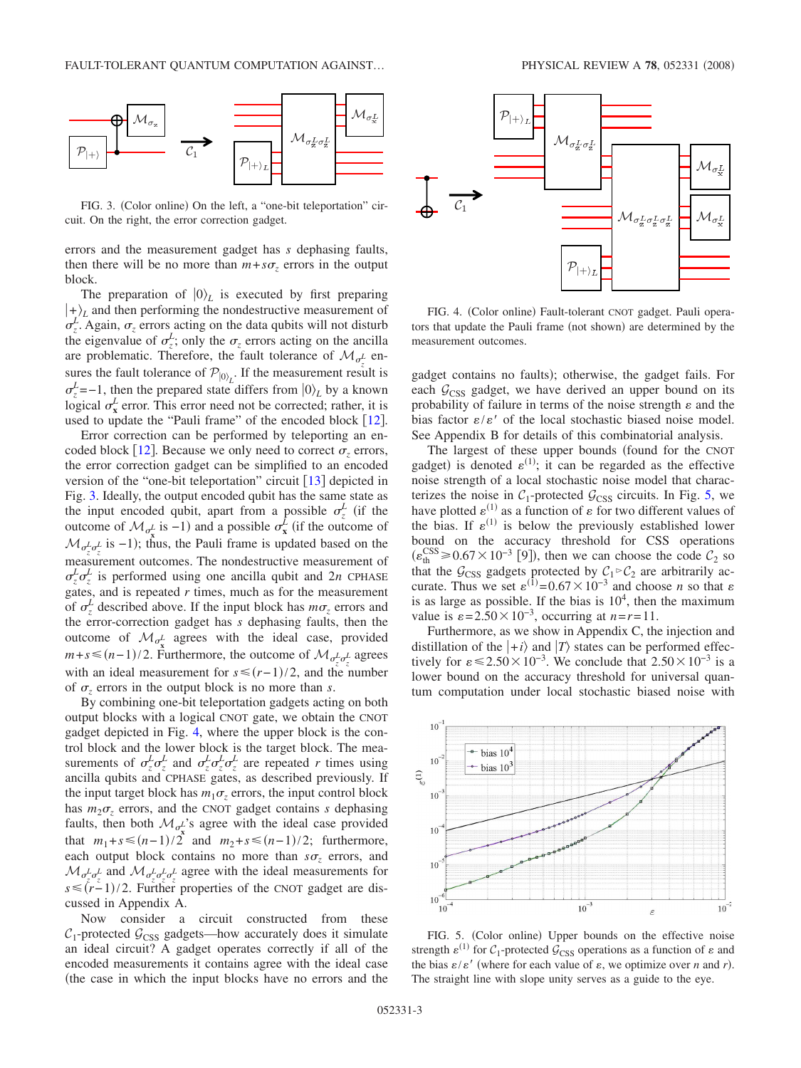<span id="page-2-0"></span>

FIG. 3. (Color online) On the left, a "one-bit teleportation" circuit. On the right, the error correction gadget.

errors and the measurement gadget has *s* dephasing faults, then there will be no more than  $m + s\sigma_z$  errors in the output block.

The preparation of  $|0\rangle_L$  is executed by first preparing  $|+\rangle$  and then performing the nondestructive measurement of  $\sigma_z^L$ . Again,  $\sigma_z$  errors acting on the data qubits will not disturb the eigenvalue of  $\sigma_z^L$ ; only the  $\sigma_z$  errors acting on the ancilla are problematic. Therefore, the fault tolerance of  $\mathcal{M}_{\sigma^L_{z}}$  ensures the fault tolerance of  $\mathcal{P}_{\ket{0}}$ . If the measurement result is  $\sigma_z^L$ =−1, then the prepared state differs from  $|0\rangle_L$  by a known logical  $\sigma_x^L$  error. This error need not be corrected; rather, it is used to update the "Pauli frame" of the encoded block  $\lceil 12 \rceil$  $\lceil 12 \rceil$  $\lceil 12 \rceil$ .

Error correction can be performed by teleporting an en-coded block [[12](#page-8-1)]. Because we only need to correct  $\sigma$ , errors, the error correction gadget can be simplified to an encoded version of the "one-bit teleportation" circuit  $\lceil 13 \rceil$  $\lceil 13 \rceil$  $\lceil 13 \rceil$  depicted in Fig. [3.](#page-2-0) Ideally, the output encoded qubit has the same state as the input encoded qubit, apart from a possible  $\sigma_z^L$  (if the outcome of  $\mathcal{M}_{\sigma_{\mathbf{x}}^L}$  is −1) and a possible  $\sigma_{\mathbf{x}}^L$  (if the outcome of  $\mathcal{M}_{\sigma_z^L \sigma_z^L}$  is −1); thus, the Pauli frame is updated based on the measurement outcomes. The nondestructive measurement of  $\sigma_z^L \sigma_z^L$  is performed using one ancilla qubit and 2*n* CPHASE gates, and is repeated *r* times, much as for the measurement of  $\sigma_z^L$  described above. If the input block has  $m\sigma_z$  errors and the error-correction gadget has *s* dephasing faults, then the outcome of  $\mathcal{M}_{\sigma_{\mathbf{x}}^L}$  agrees with the ideal case, provided *m*+*s* ≤ (*n*−1)/2. Furthermore, the outcome of  $\mathcal{M}_{\sigma_z^L \sigma_z^L}$  agrees with an ideal measurement for  $s \leq (r-1)/2$ , and the number of  $\sigma$ <sub>z</sub> errors in the output block is no more than *s*.

By combining one-bit teleportation gadgets acting on both output blocks with a logical CNOT gate, we obtain the CNOT gadget depicted in Fig. [4,](#page-2-1) where the upper block is the control block and the lower block is the target block. The measurements of  $\sigma_z^L \sigma_z^L$  and  $\sigma_z^L \sigma_z^L \sigma_z^L$  are repeated *r* times using ancilla qubits and CPHASE gates, as described previously. If the input target block has  $m_1\sigma$ , errors, the input control block has  $m_2\sigma_z$  errors, and the CNOT gadget contains *s* dephasing faults, then both  $\mathcal{M}_{\sigma_{\mathbf{x}}^{L}}$ 's agree with the ideal case provided that  $m_1 + s \leq (n-1)/2$  and  $m_2 + s \leq (n-1)/2$ ; furthermore, each output block contains no more than  $s\sigma_z$  errors, and  $\mathcal{M}_{\sigma_z^L \sigma_z^L}$  and  $\mathcal{M}_{\sigma_z^L \sigma_z^L \sigma_z^L}$  agree with the ideal measurements for  $s \le (r-1)/2$ . Further properties of the CNOT gadget are discussed in Appendix A.

Now consider a circuit constructed from these  $C_1$ -protected  $G_{CSS}$  gadgets—how accurately does it simulate an ideal circuit? A gadget operates correctly if all of the encoded measurements it contains agree with the ideal case the case in which the input blocks have no errors and the

<span id="page-2-1"></span>

FIG. 4. (Color online) Fault-tolerant CNOT gadget. Pauli operators that update the Pauli frame (not shown) are determined by the measurement outcomes.

gadget contains no faults); otherwise, the gadget fails. For each  $G<sub>CSS</sub>$  gadget, we have derived an upper bound on its probability of failure in terms of the noise strength  $\varepsilon$  and the bias factor  $\varepsilon/\varepsilon'$  of the local stochastic biased noise model. See Appendix B for details of this combinatorial analysis.

The largest of these upper bounds (found for the CNOT gadget) is denoted  $\varepsilon^{(1)}$ ; it can be regarded as the effective noise strength of a local stochastic noise model that characterizes the noise in  $C_1$ -protected  $G_{CSS}$  circuits. In Fig. [5,](#page-2-2) we have plotted  $\varepsilon^{(1)}$  as a function of  $\varepsilon$  for two different values of the bias. If  $\varepsilon^{(1)}$  is below the previously established lower bound on the accuracy threshold for CSS operations  $(\varepsilon_{\text{th}}^{\text{CSS}} \ge 0.67 \times 10^{-3}$  [9]), then we can choose the code  $\mathcal{C}_2$  so that the  $G<sub>CSS</sub>$  gadgets protected by  $C_1 \rhd C_2$  are arbitrarily accurate. Thus we set  $\varepsilon^{(1)} = 0.67 \times 10^{-3}$  and choose *n* so that  $\varepsilon$ is as large as possible. If the bias is  $10<sup>4</sup>$ , then the maximum value is  $\varepsilon = 2.50 \times 10^{-3}$ , occurring at  $n = r = 11$ .

Furthermore, as we show in Appendix C, the injection and distillation of the  $|+i\rangle$  and  $|T\rangle$  states can be performed effectively for  $\varepsilon \le 2.50 \times 10^{-3}$ . We conclude that  $2.50 \times 10^{-3}$  is a lower bound on the accuracy threshold for universal quantum computation under local stochastic biased noise with

<span id="page-2-2"></span>

FIG. 5. (Color online) Upper bounds on the effective noise strength  $\varepsilon^{(1)}$  for  $C_1$ -protected  $\mathcal{G}_{CSS}$  operations as a function of  $\varepsilon$  and the bias  $\varepsilon/\varepsilon'$  (where for each value of  $\varepsilon$ , we optimize over *n* and *r*). The straight line with slope unity serves as a guide to the eye.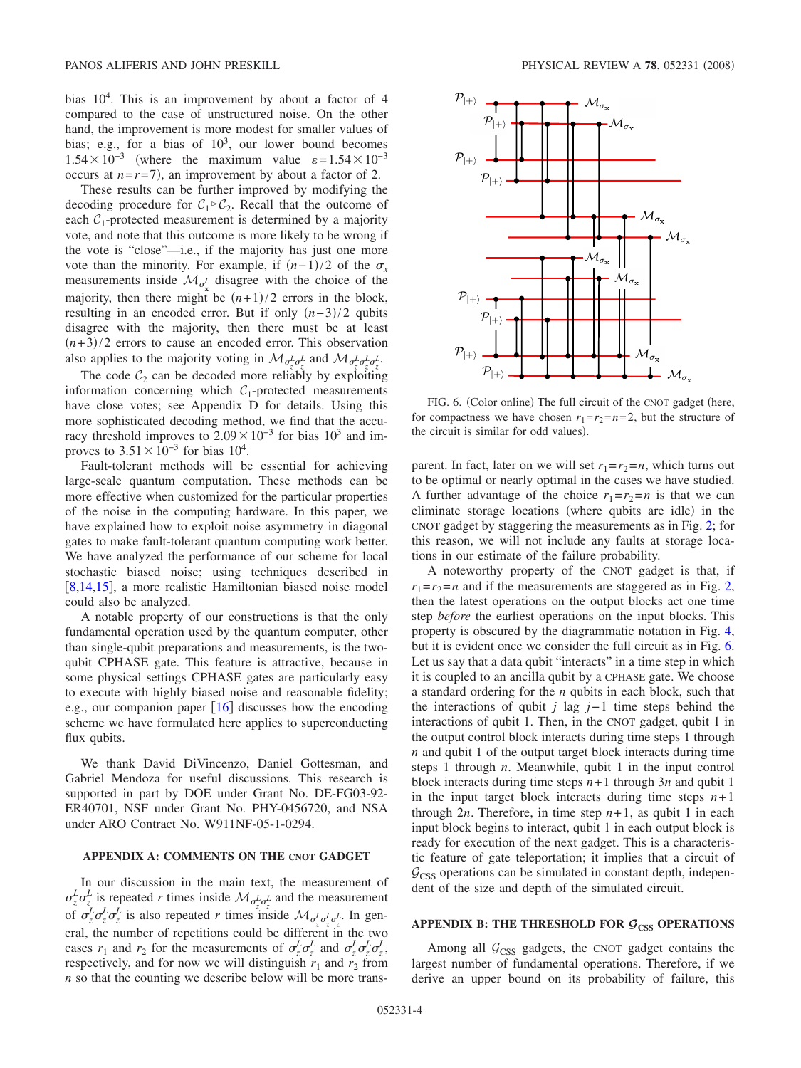bias  $10<sup>4</sup>$ . This is an improvement by about a factor of 4 compared to the case of unstructured noise. On the other hand, the improvement is more modest for smaller values of bias; e.g., for a bias of  $10^3$ , our lower bound becomes  $1.54 \times 10^{-3}$  (where the maximum value  $\varepsilon = 1.54 \times 10^{-3}$ occurs at  $n = r = 7$ ), an improvement by about a factor of 2.

These results can be further improved by modifying the decoding procedure for  $C_1 \rhd C_2$ . Recall that the outcome of each  $C_1$ -protected measurement is determined by a majority vote, and note that this outcome is more likely to be wrong if the vote is "close"—i.e., if the majority has just one more vote than the minority. For example, if  $(n-1)/2$  of the  $\sigma_x$ measurements inside  $\mathcal{M}_{\sigma_{\mathbf{x}}^L}$  disagree with the choice of the majority, then there might be  $(n+1)/2$  errors in the block, resulting in an encoded error. But if only  $(n-3)/2$  qubits disagree with the majority, then there must be at least  $(n+3)/2$  errors to cause an encoded error. This observation also applies to the majority voting in  $\mathcal{M}_{\sigma_z^L \sigma_z^L}$  and  $\mathcal{M}_{\sigma_z^L \sigma_z^L \sigma_z^L}$ .

The code  $C_2$  can be decoded more reliably by exploiting information concerning which  $C_1$ -protected measurements have close votes; see Appendix D for details. Using this more sophisticated decoding method, we find that the accuracy threshold improves to  $2.09 \times 10^{-3}$  for bias  $10^3$  and improves to  $3.51 \times 10^{-3}$  for bias  $10^4$ .

Fault-tolerant methods will be essential for achieving large-scale quantum computation. These methods can be more effective when customized for the particular properties of the noise in the computing hardware. In this paper, we have explained how to exploit noise asymmetry in diagonal gates to make fault-tolerant quantum computing work better. We have analyzed the performance of our scheme for local stochastic biased noise; using techniques described in [[8](#page-7-6)[,14](#page-8-3)[,15](#page-8-4)], a more realistic Hamiltonian biased noise model could also be analyzed.

A notable property of our constructions is that the only fundamental operation used by the quantum computer, other than single-qubit preparations and measurements, is the twoqubit CPHASE gate. This feature is attractive, because in some physical settings CPHASE gates are particularly easy to execute with highly biased noise and reasonable fidelity; e.g., our companion paper  $[16]$  $[16]$  $[16]$  discusses how the encoding scheme we have formulated here applies to superconducting flux qubits.

We thank David DiVincenzo, Daniel Gottesman, and Gabriel Mendoza for useful discussions. This research is supported in part by DOE under Grant No. DE-FG03-92- ER40701, NSF under Grant No. PHY-0456720, and NSA under ARO Contract No. W911NF-05-1-0294.

### **APPENDIX A: COMMENTS ON THE CNOT GADGET**

In our discussion in the main text, the measurement of  $\sigma_z^L \sigma_z^L$  is repeated *r* times inside  $\mathcal{M}_{\sigma_z^L \sigma_z^L}$  and the measurement of  $\sigma_z^L \sigma_z^L \sigma_z^L$  is also repeated *r* times inside  $\mathcal{M}_{\sigma_z^L \sigma_z^L \sigma_z^L}$ . In general, the number of repetitions could be different in the two cases  $r_1$  and  $r_2$  for the measurements of  $\sigma_z^L \sigma_z^L$  and  $\sigma_z^L \sigma_z^L \sigma_z^L$ , respectively, and for now we will distinguish  $r_1$  and  $r_2$  from *n* so that the counting we describe below will be more trans-

<span id="page-3-0"></span>

FIG. 6. (Color online) The full circuit of the CNOT gadget (here, for compactness we have chosen  $r_1 = r_2 = n = 2$ , but the structure of the circuit is similar for odd values).

parent. In fact, later on we will set  $r_1 = r_2 = n$ , which turns out to be optimal or nearly optimal in the cases we have studied. A further advantage of the choice  $r_1 = r_2 = n$  is that we can eliminate storage locations (where qubits are idle) in the CNOT gadget by staggering the measurements as in Fig. [2;](#page-1-1) for this reason, we will not include any faults at storage locations in our estimate of the failure probability.

A noteworthy property of the CNOT gadget is that, if  $r_1 = r_2 = n$  and if the measurements are staggered as in Fig. [2,](#page-1-1) then the latest operations on the output blocks act one time step *before* the earliest operations on the input blocks. This property is obscured by the diagrammatic notation in Fig. [4,](#page-2-1) but it is evident once we consider the full circuit as in Fig. [6.](#page-3-0) Let us say that a data qubit "interacts" in a time step in which it is coupled to an ancilla qubit by a CPHASE gate. We choose a standard ordering for the *n* qubits in each block, such that the interactions of qubit *j* lag *j*− 1 time steps behind the interactions of qubit 1. Then, in the CNOT gadget, qubit 1 in the output control block interacts during time steps 1 through *n* and qubit 1 of the output target block interacts during time steps 1 through *n*. Meanwhile, qubit 1 in the input control block interacts during time steps  $n+1$  through  $3n$  and qubit 1 in the input target block interacts during time steps  $n+1$ through 2*n*. Therefore, in time step  $n+1$ , as qubit 1 in each input block begins to interact, qubit 1 in each output block is ready for execution of the next gadget. This is a characteristic feature of gate teleportation; it implies that a circuit of  $G<sub>CSS</sub>$  operations can be simulated in constant depth, independent of the size and depth of the simulated circuit.

## APPENDIX B: THE THRESHOLD FOR  $G$ <sub>CSS</sub> OPERATIONS

Among all  $G<sub>CSS</sub>$  gadgets, the CNOT gadget contains the largest number of fundamental operations. Therefore, if we derive an upper bound on its probability of failure, this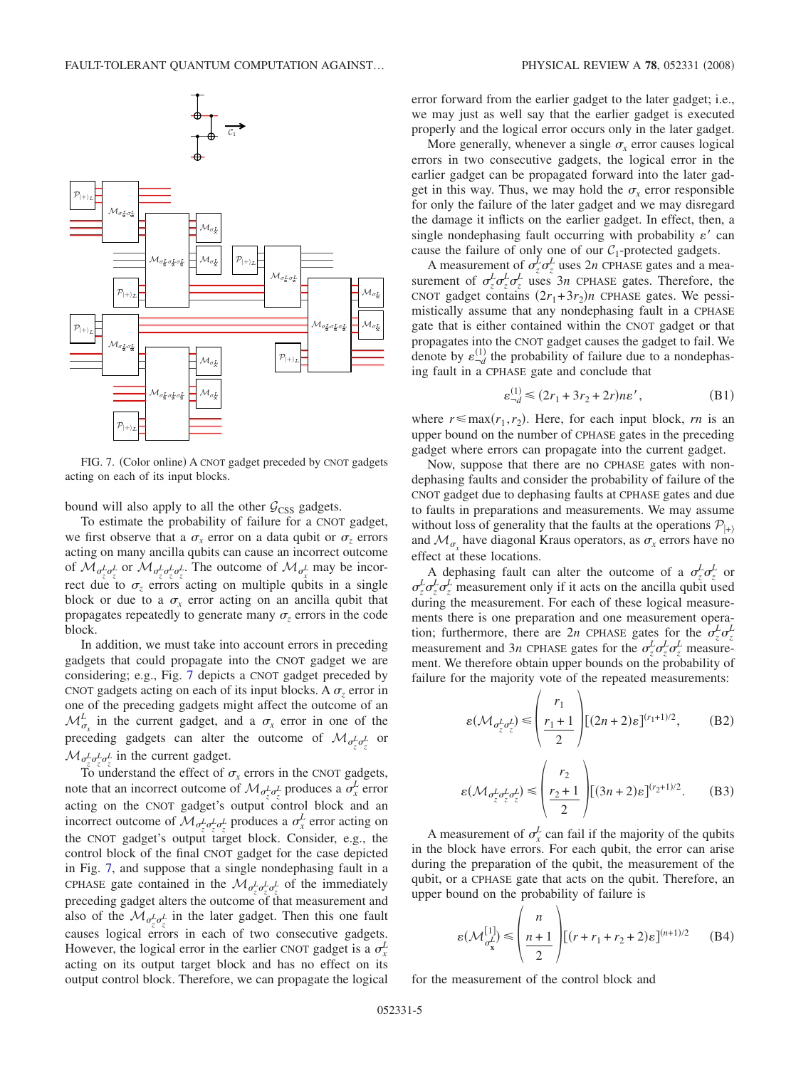<span id="page-4-0"></span>

FIG. 7. (Color online) A CNOT gadget preceded by CNOT gadgets acting on each of its input blocks.

bound will also apply to all the other  $G<sub>CSS</sub>$  gadgets.

To estimate the probability of failure for a CNOT gadget, we first observe that a  $\sigma_x$  error on a data qubit or  $\sigma_z$  errors acting on many ancilla qubits can cause an incorrect outcome of  $\mathcal{M}_{\sigma_z^L \sigma_z^L}$  or  $\mathcal{M}_{\sigma_z^L \sigma_z^L \sigma_z^L}$ . The outcome of  $\mathcal{M}_{\sigma_x^L}$  may be incorrect due to  $\sigma_z$  errors acting on multiple qubits in a single block or due to a  $\sigma_x$  error acting on an ancilla qubit that propagates repeatedly to generate many  $\sigma$ <sub>z</sub> errors in the code block.

In addition, we must take into account errors in preceding gadgets that could propagate into the CNOT gadget we are considering; e.g., Fig. [7](#page-4-0) depicts a CNOT gadget preceded by CNOT gadgets acting on each of its input blocks. A  $\sigma$ <sub>z</sub> error in one of the preceding gadgets might affect the outcome of an  $\mathcal{M}_{\sigma_x}^L$  in the current gadget, and a  $\sigma_x$  error in one of the preceding gadgets can alter the outcome of  $\mathcal{M}_{\sigma_z^L \sigma_z^L}$  or  $\mathcal{M}_{\sigma_z^L \sigma_z^L \sigma_z^L}$  in the current gadget.

To understand the effect of  $\sigma_x$  errors in the CNOT gadgets, note that an incorrect outcome of  $\mathcal{M}_{\sigma_z^L \sigma_z^L}$  produces a  $\sigma_x^L$  error acting on the CNOT gadget's output control block and an incorrect outcome of  $\mathcal{M}_{\sigma_z^L \sigma_z^L \sigma_z^L}$  produces a  $\sigma_x^L$  error acting on the CNOT gadget's output target block. Consider, e.g., the control block of the final CNOT gadget for the case depicted in Fig. [7,](#page-4-0) and suppose that a single nondephasing fault in a CPHASE gate contained in the  $\mathcal{M}_{\sigma_z^L \sigma_z^L \sigma_z^L}$  of the immediately preceding gadget alters the outcome of that measurement and also of the  $\mathcal{M}_{\sigma_z^L \sigma_z^L}$  in the later gadget. Then this one fault causes logical errors in each of two consecutive gadgets. However, the logical error in the earlier CNOT gadget is a  $\sigma_x^L$ acting on its output target block and has no effect on its output control block. Therefore, we can propagate the logical error forward from the earlier gadget to the later gadget; i.e., we may just as well say that the earlier gadget is executed properly and the logical error occurs only in the later gadget.

More generally, whenever a single  $\sigma_x$  error causes logical errors in two consecutive gadgets, the logical error in the earlier gadget can be propagated forward into the later gadget in this way. Thus, we may hold the  $\sigma_r$  error responsible for only the failure of the later gadget and we may disregard the damage it inflicts on the earlier gadget. In effect, then, a single nondephasing fault occurring with probability  $\varepsilon'$  can cause the failure of only one of our  $C_1$ -protected gadgets.

A measurement of  $\sigma_z^L \sigma_z^L$  uses 2*n* CPHASE gates and a measurement of  $\sigma_z^L \sigma_z^L \sigma_z^L$  uses  $3n$  CPHASE gates. Therefore, the CNOT gadget contains  $(2r_1+3r_2)n$  CPHASE gates. We pessimistically assume that any nondephasing fault in a CPHASE gate that is either contained within the CNOT gadget or that propagates into the CNOT gadget causes the gadget to fail. We denote by  $\varepsilon_{-d}^{(1)}$  the probability of failure due to a nondephasing fault in a CPHASE gate and conclude that

$$
\varepsilon_{-d}^{(1)} \le (2r_1 + 3r_2 + 2r)n\varepsilon', \tag{B1}
$$

where  $r \leq \max(r_1, r_2)$ . Here, for each input block, *rn* is an upper bound on the number of CPHASE gates in the preceding gadget where errors can propagate into the current gadget.

Now, suppose that there are no CPHASE gates with nondephasing faults and consider the probability of failure of the CNOT gadget due to dephasing faults at CPHASE gates and due to faults in preparations and measurements. We may assume without loss of generality that the faults at the operations  $\mathcal{P}_{\vert + \rangle}$ and  $\mathcal{M}_{\sigma_x}$  have diagonal Kraus operators, as  $\sigma_x$  errors have no effect at these locations.

A dephasing fault can alter the outcome of a  $\sigma_z^L \sigma_z^L$  or  $\sigma_z^L \sigma_z^L \sigma_z^L$  measurement only if it acts on the ancilla qubit used during the measurement. For each of these logical measurements there is one preparation and one measurement operation; furthermore, there are 2*n* CPHASE gates for the  $\sigma_z^L \sigma_z^L$ measurement and 3*n* CPHASE gates for the  $\sigma_z^L \sigma_z^L \sigma_z^L$  measurement. We therefore obtain upper bounds on the probability of failure for the majority vote of the repeated measurements:

<span id="page-4-1"></span>
$$
\varepsilon(\mathcal{M}_{\sigma_z^L \sigma_z^L}) \leqslant \left(\frac{r_1}{\frac{r_1+1}{2}}\right) \left[ (2n+2)\varepsilon \right]^{(r_1+1)/2},\tag{B2}
$$

$$
\varepsilon(\mathcal{M}_{\sigma_z^L \sigma_z^L \sigma_z^L}) \leqslant \left(\frac{r_2}{2}\right) \left[ (3n+2)\varepsilon \right]^{(r_2+1)/2}.\tag{B3}
$$

A measurement of  $\sigma_x^L$  can fail if the majority of the qubits in the block have errors. For each qubit, the error can arise during the preparation of the qubit, the measurement of the qubit, or a CPHASE gate that acts on the qubit. Therefore, an upper bound on the probability of failure is

$$
\varepsilon(\mathcal{M}_{\sigma_{\mathbf{x}}^{L}}^{[1]}) \leq \left(\frac{n}{2}\right) [(r+r_{1}+r_{2}+2)\varepsilon]^{(n+1)/2} \qquad (B4)
$$

for the measurement of the control block and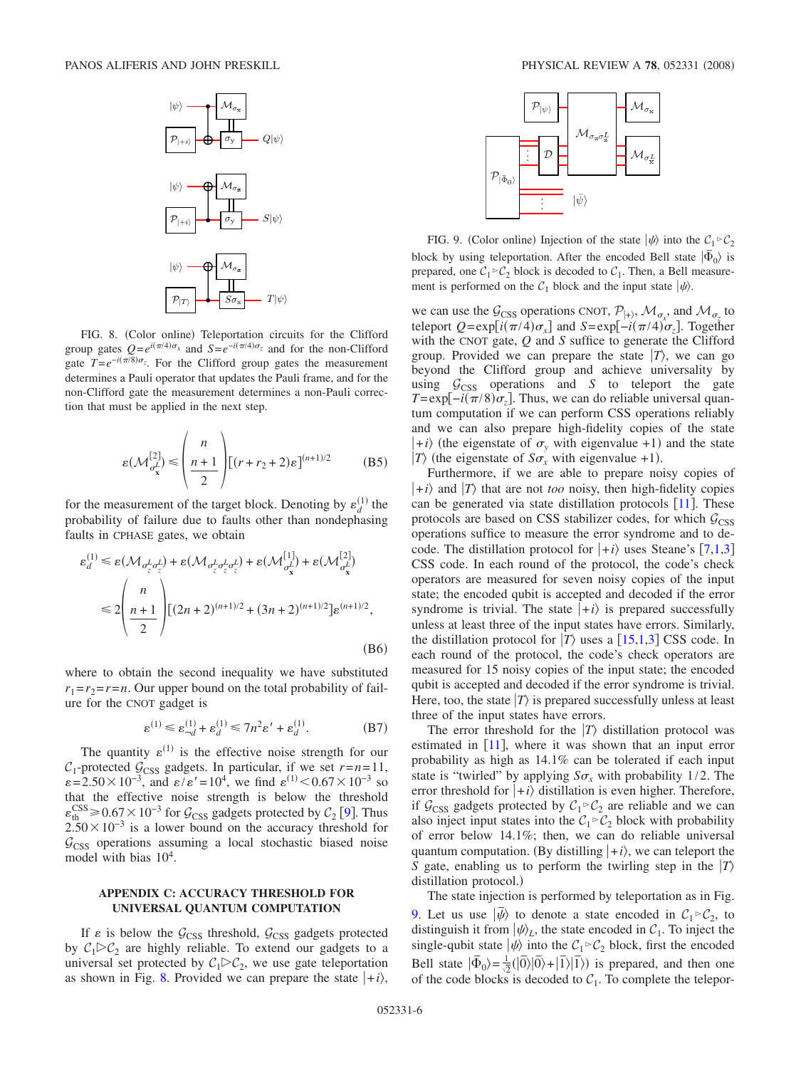<span id="page-5-0"></span>

FIG. 8. (Color online) Teleportation circuits for the Clifford group gates  $Q = e^{i(\pi/4)\sigma_x}$  and  $S = e^{-i(\pi/4)\sigma_z}$  and for the non-Clifford gate  $T = e^{-i(\pi/8)\sigma_z}$ . For the Clifford group gates the measurement determines a Pauli operator that updates the Pauli frame, and for the non-Clifford gate the measurement determines a non-Pauli correction that must be applied in the next step.

$$
\varepsilon(\mathcal{M}_{\sigma_{\mathbf{x}}^{L}}^{[2]}) \leqslant \left(\frac{n}{\frac{n+1}{2}}\right) \left[(r+r_{2}+2)\varepsilon\right]^{(n+1)/2} \tag{B5}
$$

for the measurement of the target block. Denoting by  $\varepsilon_d^{(1)}$  the probability of failure due to faults other than nondephasing faults in CPHASE gates, we obtain

$$
\varepsilon_d^{(1)} \le \varepsilon (\mathcal{M}_{\sigma_z^L \sigma_z^L}) + \varepsilon (\mathcal{M}_{\sigma_z^L \sigma_z^L \sigma_z^L}) + \varepsilon (\mathcal{M}_{\sigma_x^L}^{[1]}) + \varepsilon (\mathcal{M}_{\sigma_x^L}^{[2]})
$$
  

$$
\le 2 \left( \frac{n}{n+1} \right) \Big[ (2n+2)^{(n+1)/2} + (3n+2)^{(n+1)/2} \Big] \varepsilon^{(n+1)/2},
$$
  
(B6)

where to obtain the second inequality we have substituted  $r_1 = r_2 = r = n$ . Our upper bound on the total probability of failure for the CNOT gadget is

$$
\varepsilon^{(1)} \le \varepsilon_{-d}^{(1)} + \varepsilon_d^{(1)} \le 7n^2\varepsilon' + \varepsilon_d^{(1)}.
$$
 (B7)

The quantity  $\varepsilon^{(1)}$  is the effective noise strength for our  $C_1$ -protected  $G_{CSS}$  gadgets. In particular, if we set  $r=n=11$ ,  $\varepsilon = 2.50 \times 10^{-3}$ , and  $\varepsilon / \varepsilon' = 10^{4}$ , we find  $\varepsilon^{(1)} < 0.67 \times 10^{-3}$  so that the effective noise strength is below the threshold  $\varepsilon_{\text{th}}^{\text{CSS}} \ge 0.67 \times 10^{-3}$  for  $\mathcal{G}_{\text{CSS}}$  gadgets protected by  $\mathcal{C}_2$  [[9](#page-7-7)]. Thus  $2.50\times10^{-3}$  is a lower bound on the accuracy threshold for  $G<sub>CSS</sub>$  operations assuming a local stochastic biased noise model with bias  $10^4$ .

### **APPENDIX C: ACCURACY THRESHOLD FOR UNIVERSAL QUANTUM COMPUTATION**

If  $\varepsilon$  is below the  $\mathcal{G}_{CSS}$  threshold,  $\mathcal{G}_{CSS}$  gadgets protected by  $C_1 \triangleright C_2$  are highly reliable. To extend our gadgets to a universal set protected by  $C_1 \triangleright C_2$ , we use gate teleportation as shown in Fig. [8.](#page-5-0) Provided we can prepare the state  $|+i\rangle$ ,

<span id="page-5-1"></span>

FIG. 9. (Color online) Injection of the state  $|\psi\rangle$  into the  $C_1 \triangleright C_2$ block by using teleportation. After the encoded Bell state  $| \bar{\Phi}_0 \rangle$  is prepared, one  $C_1 \triangleright C_2$  block is decoded to  $C_1$ . Then, a Bell measurement is performed on the  $C_1$  block and the input state  $|\psi\rangle$ .

we can use the  $\mathcal{G}_{CSS}$  operations CNOT,  $\mathcal{P}_{|+\rangle}$ ,  $\mathcal{M}_{\sigma_x}$ , and  $\mathcal{M}_{\sigma_z}$  to teleport  $Q = \exp[i(\pi/4)\sigma_x]$  and  $S = \exp[-i(\pi/4)\sigma_z]$ . Together with the CNOT gate, *Q* and *S* suffice to generate the Clifford group. Provided we can prepare the state  $|T\rangle$ , we can go beyond the Clifford group and achieve universality by using  $G<sub>CSS</sub>$  operations and *S* to teleport the gate  $T = \exp[-i(\pi/8)\sigma_z]$ . Thus, we can do reliable universal quantum computation if we can perform CSS operations reliably and we can also prepare high-fidelity copies of the state  $|+i\rangle$  (the eigenstate of  $\sigma_y$  with eigenvalue +1) and the state *T*) (the eigenstate of  $S\sigma_x$  with eigenvalue +1).

Furthermore, if we are able to prepare noisy copies of  $|+i\rangle$  and  $|T\rangle$  that are not *too* noisy, then high-fidelity copies can be generated via state distillation protocols  $[11]$  $[11]$  $[11]$ . These protocols are based on CSS stabilizer codes, for which  $G<sub>CSS</sub>$ operations suffice to measure the error syndrome and to decode. The distillation protocol for  $|+i\rangle$  uses Steane's [[7,](#page-7-5)[1,](#page-7-0)[3](#page-7-2)] CSS code. In each round of the protocol, the code's check operators are measured for seven noisy copies of the input state; the encoded qubit is accepted and decoded if the error syndrome is trivial. The state  $|+i\rangle$  is prepared successfully unless at least three of the input states have errors. Similarly, the distillation protocol for  $|T\rangle$  uses a [[15,](#page-8-4)[1,](#page-7-0)[3](#page-7-2)] CSS code. In each round of the protocol, the code's check operators are measured for 15 noisy copies of the input state; the encoded qubit is accepted and decoded if the error syndrome is trivial. Here, too, the state  $|T\rangle$  is prepared successfully unless at least three of the input states have errors.

The error threshold for the  $|T\rangle$  distillation protocol was estimated in  $[11]$  $[11]$  $[11]$ , where it was shown that an input error probability as high as 14.1% can be tolerated if each input state is "twirled" by applying  $S\sigma_r$  with probability 1/2. The error threshold for  $|+i\rangle$  distillation is even higher. Therefore, if  $G_{\text{CSS}}$  gadgets protected by  $C_1 \triangleright C_2$  are reliable and we can also inject input states into the  $C_1 \triangleright C_2$  block with probability of error below 14.1%; then, we can do reliable universal quantum computation. (By distilling  $|+i\rangle$ , we can teleport the *S* gate, enabling us to perform the twirling step in the  $|T\rangle$ distillation protocol.)

The state injection is performed by teleportation as in Fig. [9.](#page-5-1) Let us use  $|\overline{\psi}\rangle$  to denote a state encoded in  $C_1 \triangleright C_2$ , to distinguish it from  $|\psi\rangle_L$ , the state encoded in  $C_1$ . To inject the single-qubit state  $|\psi\rangle$  into the  $C_1 \triangleright C_2$  block, first the encoded Bell state  $|\bar{\Phi}_0\rangle = \frac{1}{2}(|\bar{0}\rangle|\bar{0}\rangle + |\bar{1}\rangle|\bar{1}\rangle)$  is prepared, and then one of the code blocks is decoded to  $C_1$ . To complete the telepor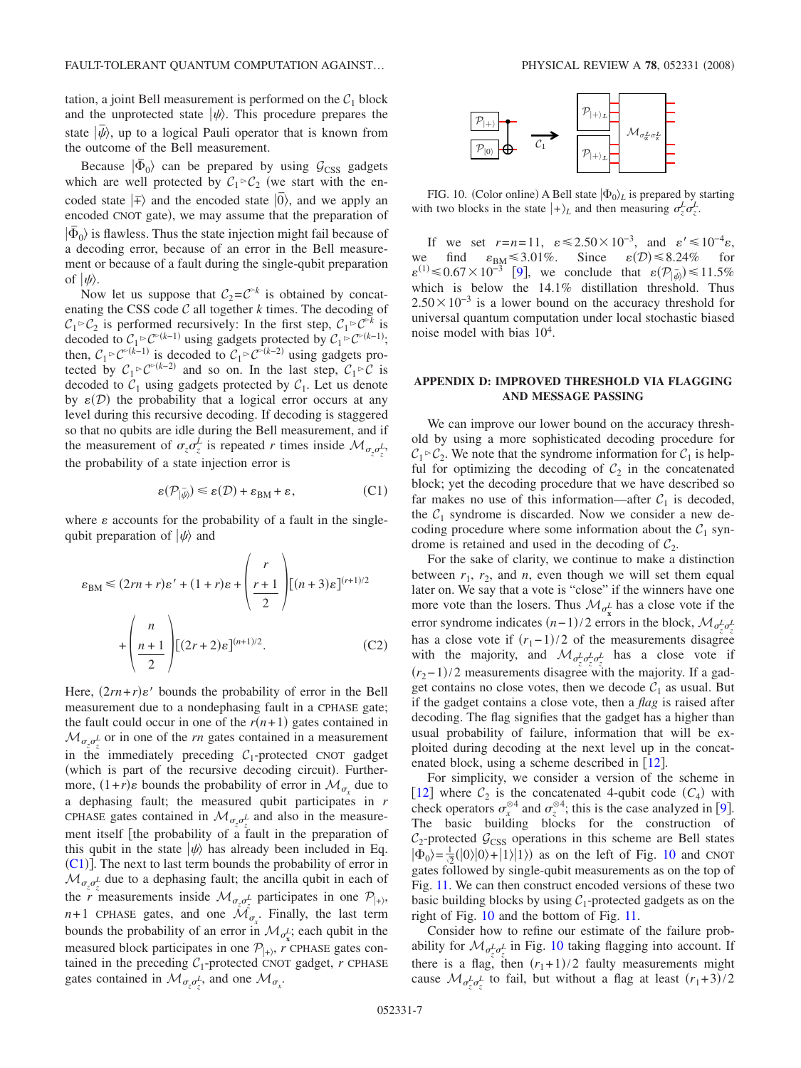tation, a joint Bell measurement is performed on the  $C_1$  block and the unprotected state  $|\psi\rangle$ . This procedure prepares the state  $|\bar{\psi}\rangle$ , up to a logical Pauli operator that is known from the outcome of the Bell measurement.

Because  $| \bar{\Phi}_0 \rangle$  can be prepared by using  $G_{\text{CSS}}$  gadgets which are well protected by  $C_1 \rhd C_2$  (we start with the encoded state  $|\bar{+}\rangle$  and the encoded state  $|\bar{0}\rangle$ , and we apply an encoded CNOT gate), we may assume that the preparation of  $|\bar{\Phi}_0\rangle$  is flawless. Thus the state injection might fail because of a decoding error, because of an error in the Bell measurement or because of a fault during the single-qubit preparation of  $|\psi\rangle$ .

Now let us suppose that  $C_2 = C^{\triangleright k}$  is obtained by concatenating the CSS code  $C$  all together  $k$  times. The decoding of  $C_1 \triangleright C_2$  is performed recursively: In the first step,  $C_1 \triangleright C^{\triangleright k}$  is decoded to  $C_1 \triangleright C^{\triangleright(k-1)}$  using gadgets protected by  $C_1 \triangleright C^{\triangleright(k-1)}$ ; then,  $C_1 \triangleright C^{\triangleright(k-1)}$  is decoded to  $C_1 \triangleright C^{\triangleright(k-2)}$  using gadgets protected by  $C_1 \triangleright C^{(k-2)}$  and so on. In the last step,  $C_1 \triangleright C$  is decoded to  $C_1$  using gadgets protected by  $C_1$ . Let us denote by  $\varepsilon(\mathcal{D})$  the probability that a logical error occurs at any level during this recursive decoding. If decoding is staggered so that no qubits are idle during the Bell measurement, and if the measurement of  $\sigma_z \sigma_z^L$  is repeated *r* times inside  $\mathcal{M}_{\sigma_z \sigma_z^L}$ , the probability of a state injection error is

$$
\varepsilon(\mathcal{P}_{|\bar{\psi}\rangle}) \leq \varepsilon(\mathcal{D}) + \varepsilon_{BM} + \varepsilon, \tag{C1}
$$

<span id="page-6-0"></span>where  $\varepsilon$  accounts for the probability of a fault in the singlequbit preparation of  $|\psi\rangle$  and

$$
\varepsilon_{BM} \le (2rn + r)\varepsilon' + (1+r)\varepsilon + \left(\frac{r}{2}\right) [(n+3)\varepsilon]^{(r+1)/2}
$$

$$
+ \left(\frac{n}{2}\right) [(2r+2)\varepsilon]^{(n+1)/2}.
$$
 (C2)

Here,  $(2rn + r)\varepsilon'$  bounds the probability of error in the Bell measurement due to a nondephasing fault in a CPHASE gate; the fault could occur in one of the  $r(n+1)$  gates contained in  $\mathcal{M}_{\sigma_z \sigma_z^L}$  or in one of the *rn* gates contained in a measurement in the immediately preceding  $C_1$ -protected CNOT gadget (which is part of the recursive decoding circuit). Furthermore,  $(1+r)\varepsilon$  bounds the probability of error in  $\mathcal{M}_{\sigma_x}$  due to a dephasing fault; the measured qubit participates in *r* CPHASE gates contained in  $\mathcal{M}_{\sigma_z \sigma_z^L}$  and also in the measurement itself [the probability of a fault in the preparation of this qubit in the state  $|\psi\rangle$  has already been included in Eq.  $(C1)$  $(C1)$  $(C1)$ ]. The next to last term bounds the probability of error in  $\mathcal{M}_{\sigma_z \sigma_z^L}$  due to a dephasing fault; the ancilla qubit in each of the *r* measurements inside  $\mathcal{M}_{\sigma_z^{\sigma_z^L}}$  participates in one  $\mathcal{P}_{|+\rangle}$ ,  $n+1$  CPHASE gates, and one  $\mathcal{M}_{\sigma_x}$ . Finally, the last term bounds the probability of an error in  $\mathcal{M}_{\sigma_{\mathbf{x}}^L}$ ; each qubit in the measured block participates in one  $P_{|+\rangle}$ , *r* CPHASE gates contained in the preceding  $C_1$ -protected CNOT gadget,  $r$  CPHASE gates contained in  $\mathcal{M}_{\sigma_z \sigma_z^L}$ , and one  $\mathcal{M}_{\sigma_x}$ .

<span id="page-6-1"></span>

FIG. 10. (Color online) A Bell state  $|\Phi_0\rangle_L$  is prepared by starting with two blocks in the state  $|+\rangle_L$  and then measuring  $\sigma_z^L \sigma_z^L$ .

If we set  $r=n=11$ ,  $\varepsilon \le 2.50 \times 10^{-3}$ , and  $\varepsilon' \le 10^{-4} \varepsilon$ , we find  $\varepsilon_{BM} \leq 3.01\%$ . Since  $\varepsilon(D) \leq 8.24\%$  for  $\varepsilon^{(1)} \le 0.67 \times 10^{-3}$  [[9](#page-7-7)], we conclude that  $\varepsilon(\mathcal{P}_{|\psi\rangle}) \le 11.5\%$  which is below the 14.1% distillation threshold. Thus  $2.50\times10^{-3}$  is a lower bound on the accuracy threshold for universal quantum computation under local stochastic biased noise model with bias  $10<sup>4</sup>$ .

### **APPENDIX D: IMPROVED THRESHOLD VIA FLAGGING AND MESSAGE PASSING**

We can improve our lower bound on the accuracy threshold by using a more sophisticated decoding procedure for  $C_1 \triangleright C_2$ . We note that the syndrome information for  $C_1$  is helpful for optimizing the decoding of  $C_2$  in the concatenated block; yet the decoding procedure that we have described so far makes no use of this information—after  $C_1$  is decoded, the  $C_1$  syndrome is discarded. Now we consider a new decoding procedure where some information about the  $C_1$  syndrome is retained and used in the decoding of  $C_2$ .

For the sake of clarity, we continue to make a distinction between  $r_1$ ,  $r_2$ , and  $n$ , even though we will set them equal later on. We say that a vote is "close" if the winners have one more vote than the losers. Thus  $\mathcal{M}_{\sigma_{\mathbf{x}}^L}$  has a close vote if the error syndrome indicates  $(n-1)/2$  errors in the block,  $\mathcal{M}_{\sigma_z^L \sigma_z^L}$ has a close vote if  $(r_1-1)/2$  of the measurements disagree with the majority, and  $\mathcal{M}_{\sigma_z^L \sigma_z^L \sigma_z^L}$  has a close vote if  $(r_2-1)/2$  measurements disagree with the majority. If a gadget contains no close votes, then we decode  $C_1$  as usual. But if the gadget contains a close vote, then a *flag* is raised after decoding. The flag signifies that the gadget has a higher than usual probability of failure, information that will be exploited during decoding at the next level up in the concatenated block, using a scheme described in  $[12]$  $[12]$  $[12]$ .

For simplicity, we consider a version of the scheme in [[12](#page-8-1)] where  $C_2$  is the concatenated 4-qubit code  $(C_4)$  with check operators  $\sigma_x^{\otimes 4}$  and  $\sigma_z^{\otimes 4}$ ; this is the case analyzed in [[9](#page-7-7)]. The basic building blocks for the construction of  $C_2$ -protected  $G_{\text{CSS}}$  operations in this scheme are Bell states  $|\Phi_0\rangle = \frac{1}{2}(|0\rangle|0\rangle + |1\rangle|1\rangle)$  as on the left of Fig. [10](#page-6-1) and CNOT gates followed by single-qubit measurements as on the top of Fig. [11.](#page-7-9) We can then construct encoded versions of these two basic building blocks by using  $C_1$ -protected gadgets as on the right of Fig. [10](#page-6-1) and the bottom of Fig. [11.](#page-7-9)

Consider how to refine our estimate of the failure probability for  $\mathcal{M}_{\sigma_z^L \sigma_z^L}$  in Fig. [10](#page-6-1) taking flagging into account. If there is a flag, then  $(r_1+1)/2$  faulty measurements might cause  $\mathcal{M}_{\sigma_z^L \sigma_z^L}$  to fail, but without a flag at least  $(r_1+3)/2$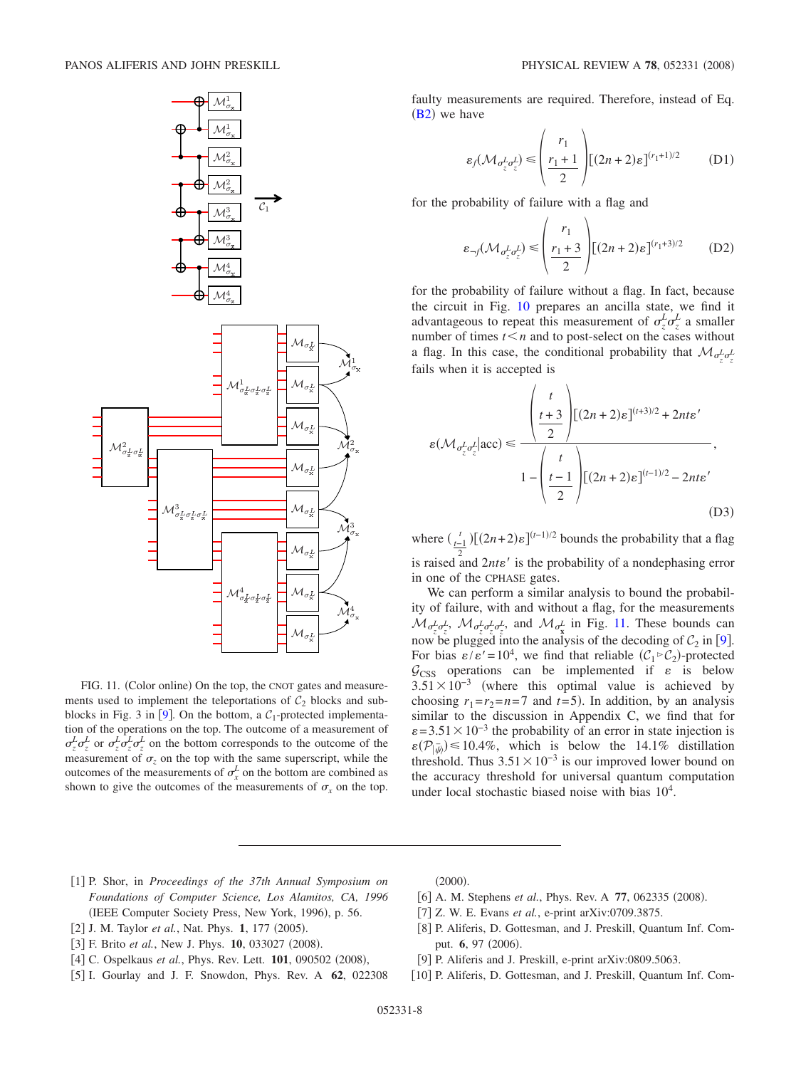<span id="page-7-9"></span>

FIG. 11. (Color online) On the top, the CNOT gates and measurements used to implement the teleportations of  $C_2$  blocks and sub-blocks in Fig. 3 in [[9](#page-7-7)]. On the bottom, a  $C_1$ -protected implementation of the operations on the top. The outcome of a measurement of  $\sigma_z^L \sigma_z^L$  or  $\sigma_z^L \sigma_z^L \sigma_z^L$  on the bottom corresponds to the outcome of the measurement of  $\sigma_z$  on the top with the same superscript, while the outcomes of the measurements of  $\sigma_x^L$  on the bottom are combined as shown to give the outcomes of the measurements of  $\sigma_x$  on the top.

faulty measurements are required. Therefore, instead of Eq.  $(B2)$  $(B2)$  $(B2)$  we have

$$
\varepsilon_f(\mathcal{M}_{\sigma_z^L \sigma_z^L}) \leqslant \left(\frac{r_1}{\frac{r_1+1}{2}}\right) \left[ (2n+2)\varepsilon \right]^{(r_1+1)/2} \tag{D1}
$$

for the probability of failure with a flag and

$$
\varepsilon_{\neg f}(\mathcal{M}_{\sigma_z^L \sigma_z^L}) \leqslant \left(\frac{r_1}{2}\right) \left[ (2n+2)\varepsilon \right]^{(r_1+3)/2} \tag{D2}
$$

for the probability of failure without a flag. In fact, because the circuit in Fig. [10](#page-6-1) prepares an ancilla state, we find it advantageous to repeat this measurement of  $\sigma_z^L \sigma_z^L$  a smaller number of times  $t \leq n$  and to post-select on the cases without a flag. In this case, the conditional probability that  $\mathcal{M}_{\sigma^L_{\xi}\sigma^L_{\xi}}$ fails when it is accepted is

$$
\varepsilon(\mathcal{M}_{\sigma_z^L \sigma_z^L} | \text{acc}) \le \frac{\left(\frac{t}{2} + 3\right) \left[ (2n+2)\varepsilon \right]^{(t+3)/2} + 2nt\varepsilon'}{1 - \left(\frac{t}{2}\right) \left[ (2n+2)\varepsilon \right]^{(t-1)/2} - 2nt\varepsilon'}
$$
\n(D3)

where  $\left(\frac{t}{t-1}\right)$   $[(2n+2)\varepsilon]^{(t-1)/2}$  bounds the probability that a flag is raised and  $2nte'$  is the probability of a nondephasing error in one of the CPHASE gates.

We can perform a similar analysis to bound the probability of failure, with and without a flag, for the measurements  $\mathcal{M}_{\sigma_z^L \sigma_z^L}$ ,  $\mathcal{M}_{\sigma_z^L \sigma_z^L \sigma_z^L}$  and  $\mathcal{M}_{\sigma_x^L}$  in Fig. [11.](#page-7-9) These bounds can now be plugged into the analysis of the decoding of  $C_2$  in [[9](#page-7-7)]. For bias  $\varepsilon/\varepsilon' = 10^4$ , we find that reliable  $(C_1 \triangleright C_2)$ -protected  $G<sub>CSS</sub>$  operations can be implemented if  $\varepsilon$  is below  $3.51 \times 10^{-3}$  (where this optimal value is achieved by choosing  $r_1 = r_2 = n = 7$  and  $t = 5$ ). In addition, by an analysis similar to the discussion in Appendix C, we find that for  $\varepsilon$  = 3.51 × 10<sup>-3</sup> the probability of an error in state injection is  $\varepsilon(\mathcal{P}_{|\psi}) \le 10.4\%$ , which is below the 14.1% distillation threshold. Thus  $3.51 \times 10^{-3}$  is our improved lower bound on the accuracy threshold for universal quantum computation under local stochastic biased noise with bias  $10^4$ .

- <span id="page-7-0"></span>1 P. Shor, in *Proceedings of the 37th Annual Symposium on Foundations of Computer Science, Los Alamitos, CA, 1996* (IEEE Computer Society Press, New York, 1996), p. 56.
- [2] J. M. Taylor et al., Nat. Phys. 1, 177 (2005).
- <span id="page-7-1"></span>[3] F. Brito et al., New J. Phys. **10**, 033027 (2008).
- <span id="page-7-2"></span>[4] C. Ospelkaus et al., Phys. Rev. Lett. 101, 090502 (2008),
- <span id="page-7-4"></span><span id="page-7-3"></span>5 I. Gourlay and J. F. Snowdon, Phys. Rev. A **62**, 022308

 $(2000).$ 

- [6] A. M. Stephens *et al.*, Phys. Rev. A 77, 062335 (2008).
- 7 Z. W. E. Evans *et al.*, e-print arXiv:0709.3875.
- <span id="page-7-5"></span>[8] P. Aliferis, D. Gottesman, and J. Preskill, Quantum Inf. Comput. **6**, 97 (2006).
- <span id="page-7-6"></span>[9] P. Aliferis and J. Preskill, e-print arXiv:0809.5063.
- <span id="page-7-8"></span><span id="page-7-7"></span>[10] P. Aliferis, D. Gottesman, and J. Preskill, Quantum Inf. Com-